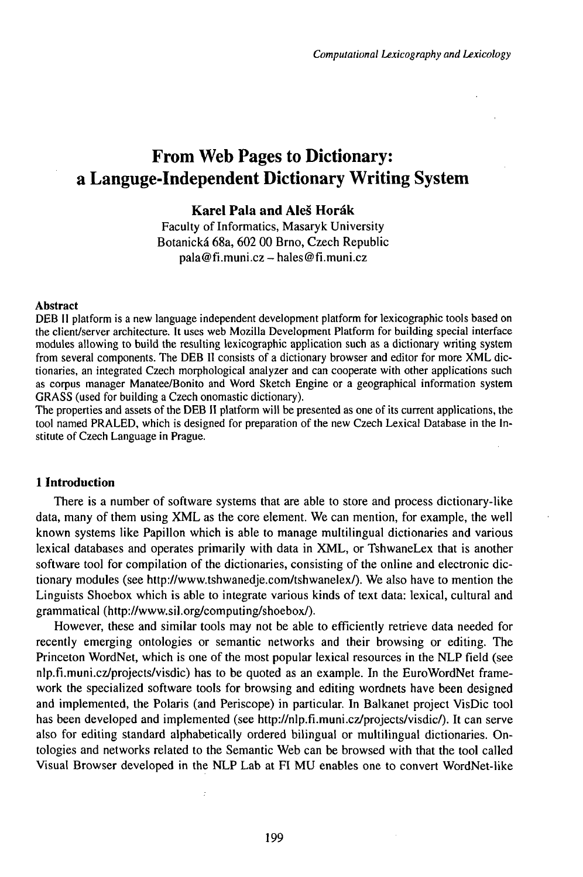# From Web Pages to Dictionary: a Languge-Independent Dictionary Writing System

# **Karel Pala and Aleš Horák**

Faculty of Informatics, Masaryk University Botanická 68a, 602 00 Brno, Czech Republic  $pala@fi.muni.cz - hales@fi.muni.cz$ 

#### Abstract

DEB II platform is a new language independent development platform for lexicographic tools based on the client/server architecture. It uses web Mozilla Development Platform for building special interface modules allowing to build the resulting lexicographic application such as a dictionary writing system from several components. The DEB II consists of a dictionary browser and editor for more XML dictionaries, an integrated Czech morphological analyzer and can cooperate with other applications such as corpus manager Manatee/Bonito and Word Sketch Engine or a geographical information system GRASS (used for building a Czech onomastic dictionary).

The properties and assets of the DEB II platform will be presented as one of its current applications, the tool named PRALED, which is designed for preparation of the new Czech Lexical Database in the Institute of Czech Language in Prague.

#### **1 Introduction**

There is a number of software systems that are able to store and process dictionary-like data, many of them using XML as the core element. We can mention, for example, the well known systems like Papillon which is able to manage multilingual dictionaries and various lexical databases and operates primarily with data in XML, or TshwaneLex that is another software tool for compilation of the dictionaries, consisting of the online and electronic dictionary modules (see http://www.tshwanedje.com/tshwanelex/). We also have to mention the Linguists Shoebox which is able to integrate various kinds of text data: lexical, cultural and grammatical (http://www.sil.org/computing/shoebox/).

However, these and similar tools may not be able to efficiently retrieve data needed for recently emerging ontologies or semantic networks and their browsing or editing. The Princeton WordNet, which is one of the most popular lexical resources in the NLP field (see nlp.fi.muni.cz/projects/visdic) has to be quoted as an example. In the EuroWordNet framework the specialized software tools for browsing and editing wordnets have been designed and implemented, the Polaris (and Periscope) in particular. In Balkanet project VisDic tool has been developed and implemented (see http://nlp.fi.muni.cz/projects/visdic/). It can serve also for editing standard alphabetically ordered bilingual or multilingual dictionaries. Ontologies and networks related to the Semantic Web can be browsed with that the tool called Visual Browser developed in the NLP Lab at FI MU enables one to convert WordNet-like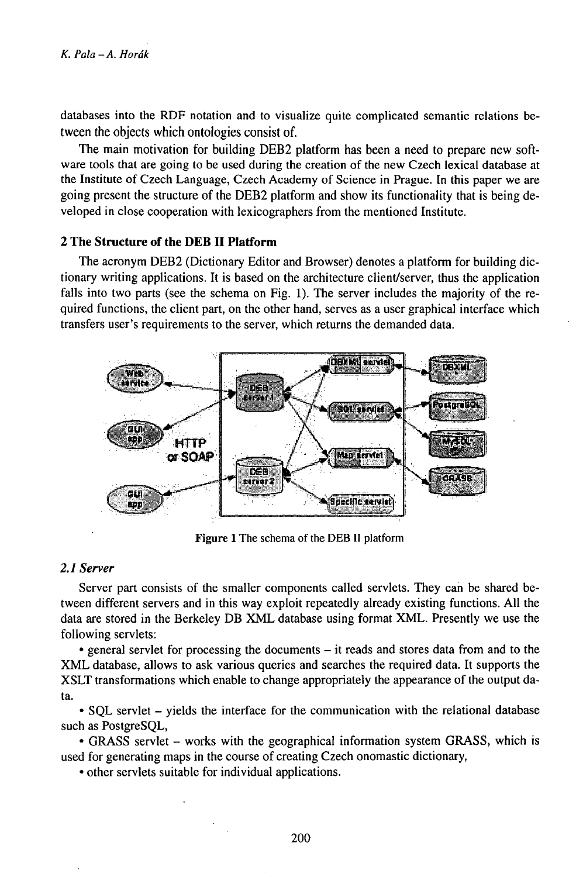databases into the RDF notation and to visualize quite complicated semantic relations between the objects which ontologies consist of.

The main motivation for building DEB2 platform has been a need to prepare new software tools that are going to be used during the creation of the new Czech lexical database at the Institute of Czech Language, Czech Academy of Science in Prague. In this paper we are going present the structure of the DEB2 platform and show its functionality that is being developed in close cooperation with lexicographers from the mentioned Institute.

## **<sup>2</sup> The Structure of the DEB • Platform**

The acronym DEB2 (Dictionary Editor and Browser) denotes a platform for building dictionary writing applications. It is based on the architecture client/server, thus the application falls into two parts (see the schema on Fig. 1). The server includes the majority of the required functions, the client part, on the other hand, serves as a user graphical interface which transfers user's requirements to the server, which returns the demanded data.



Figure <sup>1</sup> The schema of the DEB <sup>H</sup> platform

## *2.1 Server*

Server part consists of the smaller components called servlets. They can be shared between different servers and in this way exploit repeatedly already existing functions. All the data are stored in the Berkeley DB XML database using format XML. Presently we use the following servlets:

• general servlet for processing the documents - it reads and stores data from and to the XML database, allows to ask various queries and searches the required data. It supports the XSLT transformations which enable to change appropriately the appearance of the output data.

• SQL servlet – yields the interface for the communication with the relational database such as PostgreSQL,

• GRASS servlet – works with the geographical information system GRASS, which is used for generating maps in the course of creating Czech onomastic dictionary,

• other servlets suitable for individual applications.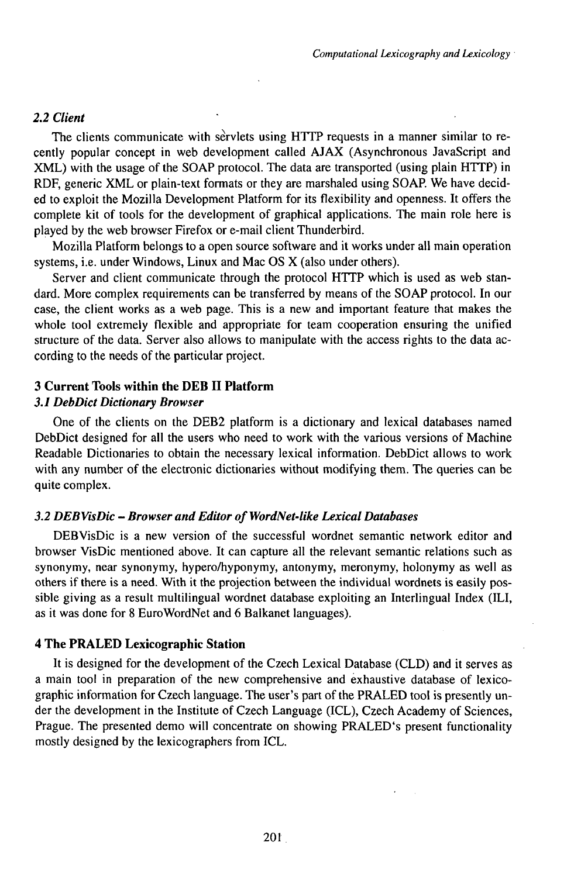### *2.2 Client*

The clients communicate with servlets using HTTP requests in a manner similar to recently popular concept in web development called AJAX (Asynchronous JavaScript and XML) with the usage of the SOAP protocol. The data are transported (using plain HTTP) in RDF, generic XML or plain-text formats or they are marshaled using SOAP. We have decided to exploit the Mozilla Development Platform for its flexibility and openness. It offers the complete kit of tools for the development of graphical applications. The main role here is played by the web browser Firefox or e-mail client Thunderbird.

Mozilla Platform belongs to a open source software and it works under all main operation systems, i.e. under Windows, Linux and Mac OS X (also under others).

Server and client communicate through the protocol HTTP which is used as web standard. More complex requirements can be transferred by means of the SOAP protocol. In our case, the client works as a web page. This is a new and important feature that makes the whole tool extremely flexible and appropriate for team cooperation ensuring the unified structure of the data. Server also allows to manipulate with the access rights to the data according to the needs of the particular project.

# **3 Current Tools within the DEB II Platform**

#### *3.1 DebDict Dictionary Browser*

One of the clients on the DEB2 platform is a dictionary and lexical databases named DebDict designed for all the users who need to work with the various versions of Machine Readable Dictionaries to obtain the necessary lexical information. DebDict allows to work with any number of the electronic dictionaries without modifying them. The queries can be quite complex.

#### *3.2 DEBVisDic - Browser and Editor of WordNet-like Lexical Databases*

DEBVisDic is a new version of the successful wordnet semantic network editor and browser VisDic mentioned above. It can capture all the relevant semantic relations such as synonymy, near synonymy, hypero/hyponymy, antonymy, meronymy, holonymy as well as others if there is a need. With it the projection between the individual wordnets is easily possible giving as a result multilingual wordnet database exploiting an Interlingual Index (ILI, as it was done for 8 EuroWordNet and 6 Balkanet languages).

### **4 The PRALED Lexicographic Station**

It is designed for the development of the Czech Lexical Database (CLD) and it serves as a main tool in preparation of the new comprehensive and exhaustive database of lexicographic information for Czech language. The user's part ofthe PRALED tool is presently under the development in the Institute of Czech Language (ICL), Czech Academy of Sciences, Prague. The presented demo will concentrate on showing PRALED's present functionality mostly designed by the lexicographers from ICL.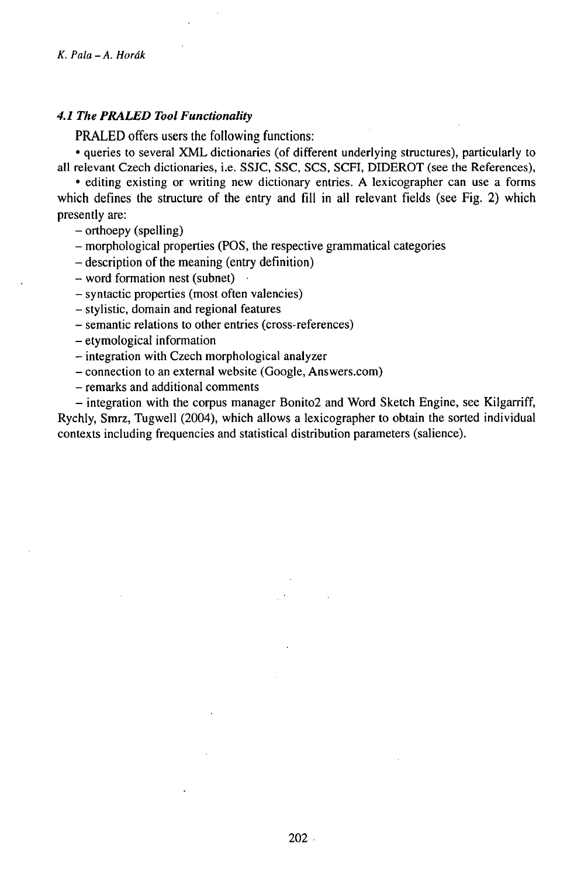## *4.1 The PRALED Tool Functionality*

**PRALED** offers users the following functions:

• queries to several XML dictionaries (of different underlying structures), particularly to all relevant Czech dictionaries, i.e. SSJC, SSC, SCS, SCFI, DIDEROT (see the References),

• editing existing or writing new dictionary entries. A lexicographer can use a forms which defines the structure of the entry and fill in all relevant fields (see Fig. 2) which presently are:

- orthoepy (spelling)

- morphological properties (POS, the respective grammatical categories

- description of the meaning (entry definition)
- word formation nest (subnet) •
- syntactic properties (most often valencies)
- stylistic, domain and regional features
- semantic relations to other entries (cross-references)
- etymological information
- -integration with Czech morphological analyzer
- connection to an external website (Google, Answers.com)
- remarks and additional comments

- integration with the corpus manager Bonito2 and Word Sketch Engine, see Kilgarriff, Rychly, Smrz, Tugwell (2004), which allows a lexicographer to obtain the sorted individual contexts including frequencies and statistical distribution parameters (salience).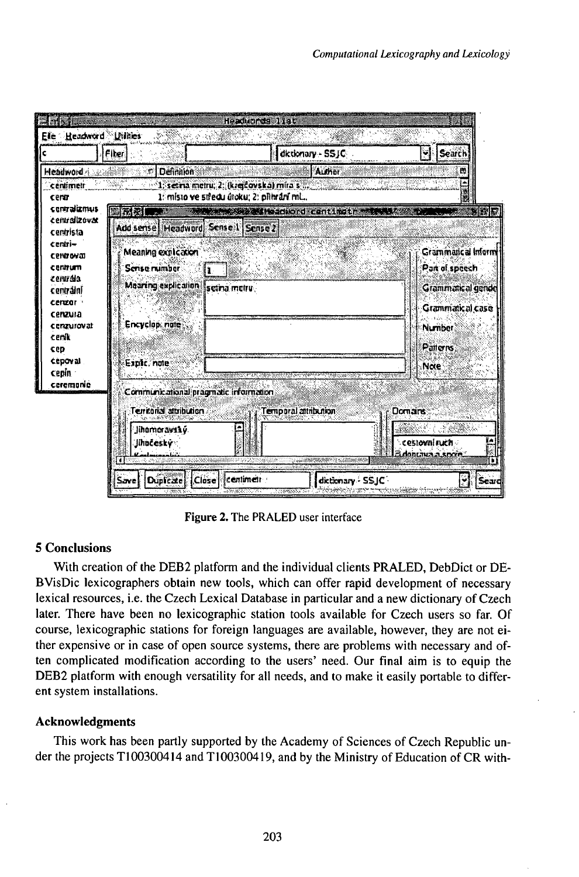|                            | <b>Fiber</b>                          | dktionary - SSJC                                                                                                                                             | Search<br>₩                      |
|----------------------------|---------------------------------------|--------------------------------------------------------------------------------------------------------------------------------------------------------------|----------------------------------|
| Headword                   | Definition                            | Author                                                                                                                                                       | B                                |
| centimetr<br>cerar         |                                       | 1. setra metru, 2: (krejčovska) mira s 1. setra 1. setra 1. setra 1. setra 1. setra 1. setra 1. setra 1. setra<br>1: misto ve středu útoku; 2: přihrání ml., |                                  |
| contralizmus               | 深思                                    | <b>The Second Hashbord canting to "The State</b>                                                                                                             |                                  |
| centralizovat<br>centrista | Add sense Headword Sense 1 Sense 2    |                                                                                                                                                              |                                  |
| centri-                    |                                       |                                                                                                                                                              | Grammatical Inform               |
| centroval<br>centrum       | Meaning explication<br>Serise mimber  |                                                                                                                                                              | Part of speech                   |
| centrála                   | ી !                                   |                                                                                                                                                              |                                  |
| centrălni<br>cergogr -     | Mearing explication section metry     |                                                                                                                                                              | Grammatical gende                |
| cenzura                    |                                       |                                                                                                                                                              | Grammatical case                 |
| ceraurovat                 | Encyclop, note                        |                                                                                                                                                              | Number                           |
| ceník<br>cep               |                                       |                                                                                                                                                              | Patterres                        |
| <b>Cepoval</b>             | Explic, note                          |                                                                                                                                                              | <b>Note</b>                      |
| cepin :<br>ceremonie       |                                       |                                                                                                                                                              |                                  |
|                            | Communicational pragmatic information |                                                                                                                                                              |                                  |
|                            | Terrental attribution                 | Temporal attribution                                                                                                                                         | Domairs                          |
|                            | jihamoravský.                         |                                                                                                                                                              |                                  |
|                            | Jihočeský                             |                                                                                                                                                              | cestovní ruch<br>adonoma isocia: |

Figure 2. The PRALED user interface

# **5 Conclusions**

With creation of the DEB2 platform and the individual clients PRALED, DebDict or DE-BVisDic lexicographers obtain new tools, which can offer rapid development of necessary lexical resources, i.e. the Czech Lexical Database in particular and a new dictionary of Czech later. There have been no lexicographic station tools available for Czech users so far. Of course, lexicographic stations for foreign languages are available, however, they are not either expensive or in case of open source systems, there are problems with necessary and often complicated modification according to the users' need. Our final aim is to equip the DEB2 platform with enough versatility for all needs, and to make it easily portable to different system installations.

# **Acknowledgments**

This work has been partly supported by the Academy of Sciences of Czech Republic under the projects T100300414 and T100300419, and by the Ministry of Education of CR with